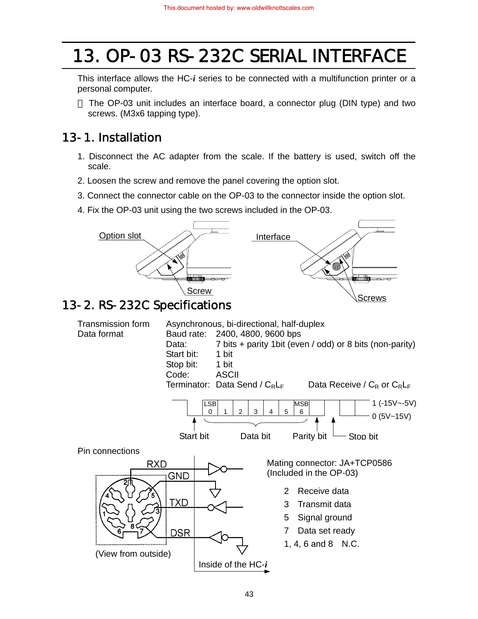# 13. OP-03 RS-232C SERIAL INTERFACE

This interface allows the HC-*i* series to be connected with a multifunction printer or a personal computer.

 $f$  The OP-03 unit includes an interface board, a connector plug (DIN type) and two screws. (M3x6 tapping type).

# 13-1. Installation

- 1. Disconnect the AC adapter from the scale. If the battery is used, switch off the scale.
- 2. Loosen the screw and remove the panel covering the option slot.
- 3. Connect the connector cable on the OP-03 to the connector inside the option slot.
- 4. Fix the OP-03 unit using the two screws included in the OP-03.



# 13-2. RS-232C Specifications

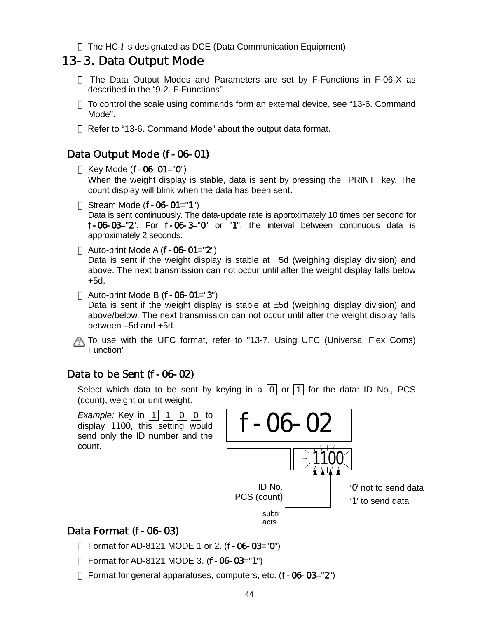The HC-*i* is designated as DCE (Data Communication Equipment).

## 13-3. Data Output Mode

- The Data Output Modes and Parameters are set by F-Functions in F-06-X as described in the "9-2. F-Functions"
- $£$  To control the scale using commands form an external device, see "13-6. Command Mode".
- $E$  Refer to "13-6. Command Mode" about the output data format.

### Data Output Mode (f-06-01)

£ Key Mode  $(f - 06 - 01 = "0")$ 

When the weight display is stable, data is sent by pressing the  $|PRINT|$  key. The count display will blink when the data has been sent.

£ Stream Mode  $(f-06-01="1")$ 

Data is sent continuously. The data-update rate is approximately 10 times per second for f-06-03="2". For f-06-3="0" or "1", the interval between continuous data is approximately 2 seconds.

£ Auto-print Mode A  $(f-06-01="2")$ 

Data is sent if the weight display is stable at +5d (weighing display division) and above. The next transmission can not occur until after the weight display falls below +5d.

 $£$  Auto-print Mode B ( $f$ -06-01="3")

Data is sent if the weight display is stable at  $±5d$  (weighing display division) and above/below. The next transmission can not occur until after the weight display falls between –5d and +5d.

To use with the UFC format, refer to "13-7. Using UFC (Universal Flex Coms) Function"

### Data to be Sent (f-06-02)

Select which data to be sent by keying in a  $\boxed{0}$  or  $\boxed{1}$  for the data: ID No., PCS (count), weight or unit weight.



## Data Format (f-06-03)

- Format for AD-8121 MODE 1 or 2. (f-06-03="0")
- £ Format for AD-8121 MODE 3.  $(f 06 03 = "1")$
- £ Format for general apparatuses, computers, etc.  $(f 06 03 = "2")$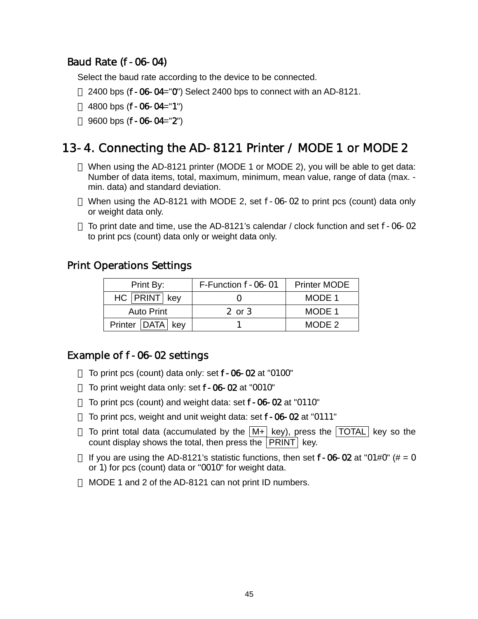## Baud Rate (f-06-04)

Select the baud rate according to the device to be connected.

- $\pm$  2400 bps (f-06-04="0") Select 2400 bps to connect with an AD-8121.
- £ 4800 bps  $(f 06 04 = "1")$
- $£$  9600 bps (f-06-04="2")

## 13-4. Connecting the AD-8121 Printer / MODE 1 or MODE 2

- When using the AD-8121 printer (MODE 1 or MODE 2), you will be able to get data: Number of data items, total, maximum, minimum, mean value, range of data (max. min. data) and standard deviation.
- When using the AD-8121 with MODE 2, set f-06-02 to print pcs (count) data only or weight data only.
- $£$  To print date and time, use the AD-8121's calendar / clock function and set  $f 06 02$ to print pcs (count) data only or weight data only.

#### Print Operations Settings

| Print By:            | F-Function f-06-01 | <b>Printer MODE</b> |
|----------------------|--------------------|---------------------|
| HC PRINT key         |                    | MODE 1              |
| <b>Auto Print</b>    | 2 or $3$           | MODE 1              |
| Printer   DATA   key |                    | MODE 2              |

### Example of f-06-02 settings

- $£$  To print pcs (count) data only: set  $f$ -06-02 at "0100"
- $£$  To print weight data only: set  $f 06 02$  at "0010"
- To print pcs (count) and weight data: set f-06-02 at "0110"
- To print pcs, weight and unit weight data: set f-06-02 at "0111"
- £ To print total data (accumulated by the  $|M+|$  key), press the TOTAL key so the count display shows the total, then press the PRINT key.
- £ If you are using the AD-8121's statistic functions, then set  $f 06 02$  at "01#0" (# = 0 or 1) for pcs (count) data or "0010" for weight data.
- MODE 1 and 2 of the AD-8121 can not print ID numbers.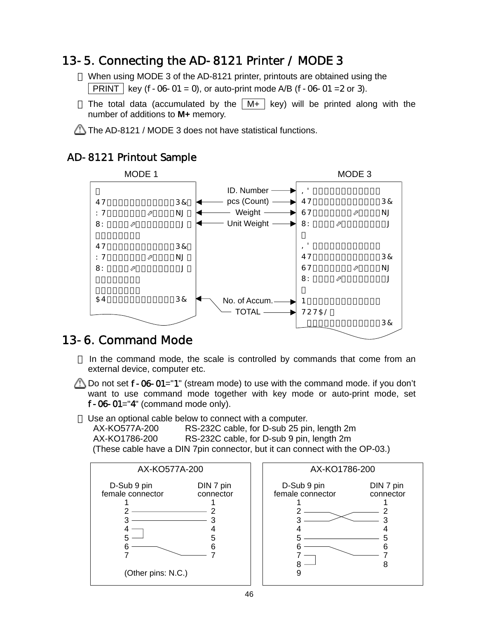# 13-5. Connecting the AD-8121 Printer / MODE 3

- When using MODE 3 of the AD-8121 printer, printouts are obtained using the **PRINT** | key (f-06-01 = 0), or auto-print mode A/B (f-06-01 = 2 or 3).
- £ The total data (accumulated by the  $\vert$  M+  $\vert$  key) will be printed along with the number of additions to **M+** memory.

 $\Box$  The AD-8121 / MODE 3 does not have statistical functions.

## AD-8121 Printout Sample



# 13-6. Command Mode

- $E$  In the command mode, the scale is controlled by commands that come from an external device, computer etc.
- Do not set  $f$ -06-01="1" (stream mode) to use with the command mode. if you don't want to use command mode together with key mode or auto-print mode, set f-06-01="4" (command mode only).
- Use an optional cable below to connect with a computer.

RS-232C cable, for D-sub 25 pin, length 2m AX-KO1786-200 RS-232C cable, for D-sub 9 pin, length 2m (These cable have a DIN 7pin connector, but it can connect with the OP-03.)



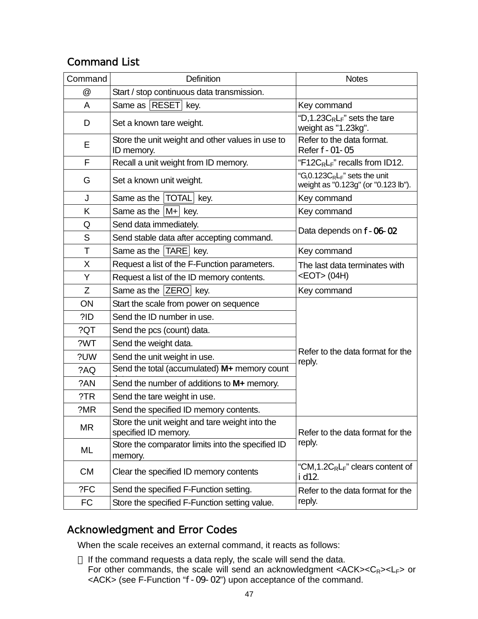## Command List

| Command   | Definition                                                             | <b>Notes</b>                                                              |
|-----------|------------------------------------------------------------------------|---------------------------------------------------------------------------|
| @         | Start / stop continuous data transmission.                             |                                                                           |
| A         | Same as   RESET   key.                                                 | Key command                                                               |
| D         | Set a known tare weight.                                               | "D,1.23 $C_R L_F$ " sets the tare<br>weight as "1.23kg".                  |
| Е         | Store the unit weight and other values in use to<br>ID memory.         | Refer to the data format.<br>Refer f-01-05                                |
| F         | Recall a unit weight from ID memory.                                   | "F12C <sub>R</sub> L <sub>F</sub> " recalls from ID12.                    |
| G         | Set a known unit weight.                                               | "G,0.123 $C_R L_F$ " sets the unit<br>weight as "0.123g" (or "0.123 lb"). |
| J         | Same as the  TOTAL  key.                                               | Key command                                                               |
| K         | Same as the $ M+ $ key.                                                | Key command                                                               |
| Q         | Send data immediately.                                                 |                                                                           |
| S         | Send stable data after accepting command.                              | Data depends on f-06-02                                                   |
| T         | Same as the TARE key.                                                  | Key command                                                               |
| X         | Request a list of the F-Function parameters.                           | The last data terminates with                                             |
| Y         | Request a list of the ID memory contents.                              | <eot> (04H)</eot>                                                         |
| Z         | Same as the $ ZERO $ key.                                              | Key command                                                               |
| ON        | Start the scale from power on sequence                                 |                                                                           |
| ?ID       | Send the ID number in use.                                             |                                                                           |
| ?QT       | Send the pcs (count) data.                                             |                                                                           |
| ?WT       | Send the weight data.                                                  |                                                                           |
| ?UW       | Send the unit weight in use.                                           | Refer to the data format for the<br>reply.                                |
| ?AQ       | Send the total (accumulated) M+ memory count                           |                                                                           |
| ?AN       | Send the number of additions to M+ memory.                             |                                                                           |
| ?TR       | Send the tare weight in use.                                           |                                                                           |
| ?MR       | Send the specified ID memory contents.                                 |                                                                           |
| MR        | Store the unit weight and tare weight into the<br>specified ID memory. | Refer to the data format for the                                          |
| ML        | Store the comparator limits into the specified ID<br>memory.           | reply.                                                                    |
| <b>CM</b> | Clear the specified ID memory contents                                 | "CM, 1.2 $C_R L_F$ " clears content of<br>i d12.                          |
| ?FC       | Send the specified F-Function setting.                                 | Refer to the data format for the                                          |
| <b>FC</b> | Store the specified F-Function setting value.                          | reply.                                                                    |

## Acknowledgment and Error Codes

When the scale receives an external command, it reacts as follows:

 $E$  If the command requests a data reply, the scale will send the data. For other commands, the scale will send an acknowledgment <ACK><C<sub>R</sub>><L<sub>F</sub>> or <ACK> (see F-Function "f-09-02") upon acceptance of the command.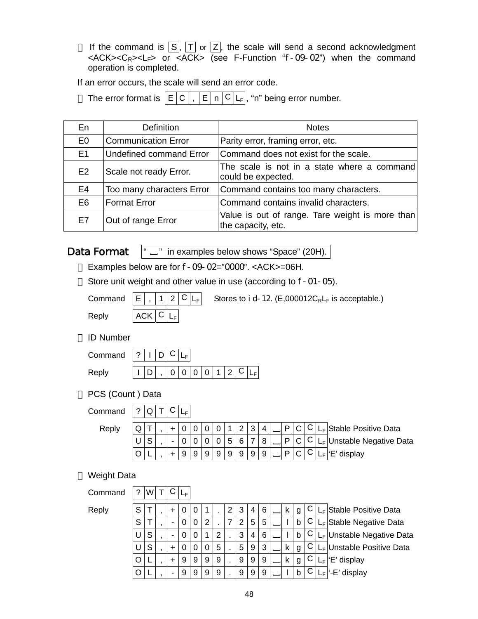£ If the command is  $\boxed{S}$ ,  $\boxed{T}$  or  $\boxed{Z}$ , the scale will send a second acknowledgment  $<$ ACK> $<$ C<sub>R</sub>> $<$ L<sub>F</sub>> or  $<$ ACK> (see F-Function "f-09-02") when the command operation is completed.

If an error occurs, the scale will send an error code.

£ The error format is  $|E|C|$ ,  $|E|n|C|L_F|$ , "n" being error number.

| En             | <b>Definition</b>              | <b>Notes</b>                                                          |
|----------------|--------------------------------|-----------------------------------------------------------------------|
| E <sub>0</sub> | <b>Communication Error</b>     | Parity error, framing error, etc.                                     |
| E1             | <b>Undefined command Error</b> | Command does not exist for the scale.                                 |
| E2             | Scale not ready Error.         | The scale is not in a state where a command<br>could be expected.     |
| E <sub>4</sub> | Too many characters Error      | Command contains too many characters.                                 |
| E <sub>6</sub> | <b>Format Error</b>            | Command contains invalid characters.                                  |
| E7             | Out of range Error             | Value is out of range. Tare weight is more than<br>the capacity, etc. |

Data Format

" \_" in examples below shows "Space" (20H).

- Examples below are for f-09-02="0000". <ACK>=06H.
- £ Store unit weight and other value in use (according to f-01-05).

|  | Comma |  |  |
|--|-------|--|--|
|  |       |  |  |

and  $|E|$  ,  $|1|2|C|L_F|$  Stores to i d-12. (E,000012C<sub>R</sub>L<sub>F</sub> is acceptable.)

 $Reply$   $|ACK|C|L_F$ 

#### ID Number

| Command $ ? I D C L$ |  |  |                           |  |  |  |
|----------------------|--|--|---------------------------|--|--|--|
| Reply                |  |  | $D$  , $ 0 0 0 0 1 2 C L$ |  |  |  |

PCS (Count ) Data

Command  $? Q T C L_F$ 

| Reply |  |  |  |   |   |   | $\sqrt{2}$ | 3                        | 4              | $\Box$ |   |            | IL <sub>F</sub> Stable Positive Data |
|-------|--|--|--|---|---|---|------------|--------------------------|----------------|--------|---|------------|--------------------------------------|
|       |  |  |  |   |   | 5 | . 6        | $\overline{\phantom{a}}$ | $\overline{8}$ | D      | C | <u>، ب</u> | ILF Unstable Negative Data           |
|       |  |  |  | 9 | 9 | 9 | 9          | 9                        | 9              | D      |   |            | 'E' display                          |

#### Weight Data

Command  $?$  W  $TCl_{F}$ 

Reply

| Reply | S |   |  |   |   |   |   | 2 | 3 | 4 | 6 |  | g |   | LF Stable Positive Data   |
|-------|---|---|--|---|---|---|---|---|---|---|---|--|---|---|---------------------------|
|       | S |   |  |   |   | 2 |   |   |   | 5 | 5 |  | b |   | LF Stable Negative Data   |
|       |   | S |  |   |   |   | 2 |   | 3 | 4 | 6 |  | b |   | LF Unstable Negative Data |
|       |   | S |  | υ |   | 0 | 5 |   | 5 | 9 | 3 |  | g |   | LF Unstable Positive Data |
|       |   |   |  | 9 | 9 | 9 | 9 |   | 9 | 9 | 9 |  | g | ◡ | 'E' display               |
|       |   |   |  | 9 | 9 | 9 | 9 |   | 9 | 9 | 9 |  | b |   | -E' display               |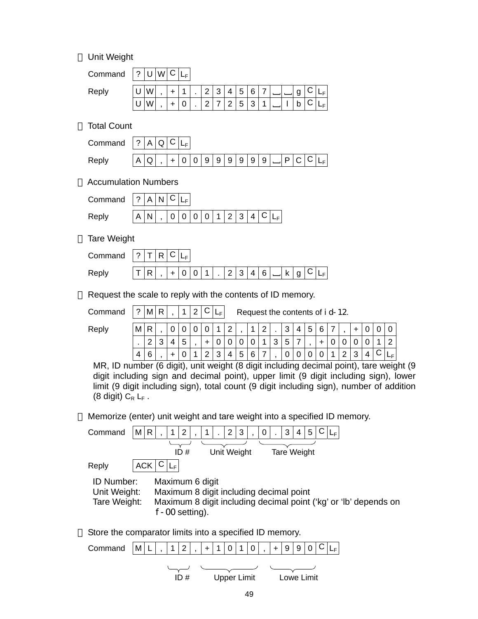Unit Weight

| Command | $\sim$ |  |   |                |            |         |          |                 |   |   |  |   |  |
|---------|--------|--|---|----------------|------------|---------|----------|-----------------|---|---|--|---|--|
| Reply   |        |  |   | $\blacksquare$ | ົ          | ્ર<br>ں | 4        | $5\phantom{.0}$ | 6 | - |  | g |  |
|         |        |  | 0 |                | $\sqrt{2}$ |         | $\Omega$ | 5               | ົ |   |  |   |  |

£ Total Count

| Command $ ? A Q C L_F$ |                                                  |  |  |  |  |  |  |  |  |
|------------------------|--------------------------------------------------|--|--|--|--|--|--|--|--|
| Reply                  | 'A Q  , + 0 0 9 9 9 9 9 9 _ P C  <sup>C</sup>  L |  |  |  |  |  |  |  |  |

£ Accumulation Numbers

| Command $ ? A N C L_F $ |  |  |  |                                       |  |  |  |  |
|-------------------------|--|--|--|---------------------------------------|--|--|--|--|
| Reply                   |  |  |  | $ A N $ , $ 0 0 0 0 1 2 3 4 C L_{F1}$ |  |  |  |  |

£ Tare Weight

| Command $ ? T R C$ |  |  |  |                         |  |  |  |  |  |
|--------------------|--|--|--|-------------------------|--|--|--|--|--|
| Reply              |  |  |  | + 0 0 1  .  2 3 4 6 _ k |  |  |  |  |  |

 $E$  Request the scale to reply with the contents of ID memory.

Command  $|?|M|R|$ ,  $|1|2|C|L_F|$  Request the contents of id-12.

| Reply | M              |        |                 | ◡      | $\sim$             |             | $\sim$      |        | И      | ີ<br>- |        | ົ<br>ັ      | Δ | -<br>∽<br>ັ | $\sim$<br>ີ |  |             |   |             |     |
|-------|----------------|--------|-----------------|--------|--------------------|-------------|-------------|--------|--------|--------|--------|-------------|---|-------------|-------------|--|-------------|---|-------------|-----|
|       |                | $\sim$ | $\sqrt{2}$<br>ັ | -<br>ັ |                    | ີ           | $\sim$<br>ັ | ∽<br>u | ⌒      |        | ⌒<br>ັ | -<br>∽<br>ັ | - |             |             |  |             |   |             |     |
|       | $\overline{4}$ | $\sim$ |                 |        | $\sim$<br><u>_</u> | $\sim$<br>ັ | Λ           | г<br>ັ | а<br>v | -      |        | ∩<br>v      | U | ◡           | ∽<br>◡      |  | $\sim$<br>ັ | 4 | $\sim$<br>ັ | LF. |

 MR, ID number (6 digit), unit weight (8 digit including decimal point), tare weight (9 digit including sign and decimal point), upper limit (9 digit including sign), lower limit (9 digit including sign), total count (9 digit including sign), number of addition (8 digit)  $C_R$   $L_F$ .

 $£$  Memorize (enter) unit weight and tare weight into a specified ID memory.

| Command                                                     | M          | $\mathsf{R}$ |                                                                                  | 1           | $\overline{2}$ | $\overline{1}$ |  | $\overline{2}$ | 3           | 0 | 3 | 4                  | 5 |  | LF |  |                                                                  |  |  |
|-------------------------------------------------------------|------------|--------------|----------------------------------------------------------------------------------|-------------|----------------|----------------|--|----------------|-------------|---|---|--------------------|---|--|----|--|------------------------------------------------------------------|--|--|
|                                                             |            |              |                                                                                  |             | ID#            |                |  |                | Unit Weight |   |   | <b>Tare Weight</b> |   |  |    |  |                                                                  |  |  |
| Reply                                                       | <b>ACK</b> |              |                                                                                  | $L_{\rm F}$ |                |                |  |                |             |   |   |                    |   |  |    |  |                                                                  |  |  |
| <b>ID Number:</b><br>Unit Weight:<br>Tare Weight:           |            |              | Maximum 6 digit<br>Maximum 8 digit including decimal point<br>$f - 00$ setting). |             |                |                |  |                |             |   |   |                    |   |  |    |  | Maximum 8 digit including decimal point ('kg' or 'lb' depends on |  |  |
| $E$ Store the comparator limits into a specified ID memory. |            |              |                                                                                  |             |                |                |  |                |             |   |   |                    |   |  |    |  |                                                                  |  |  |

Command  $|M|L|$ ,  $|1|2|$ ,  $|+|1|0|1|0|$ ,  $|+|9|9|0|C|L_F|$ ID # Upper Limit Lowe Limit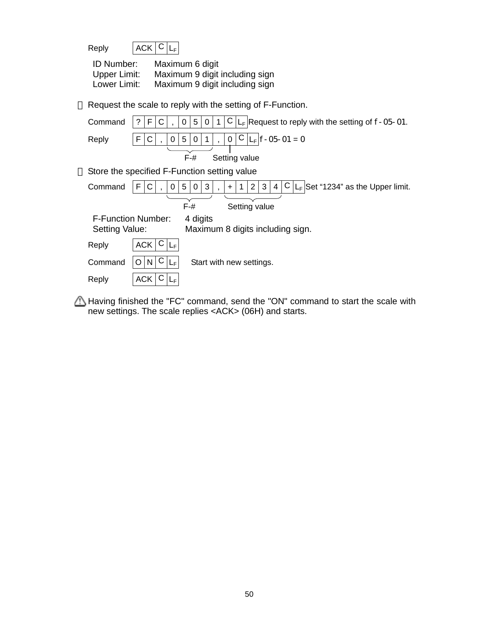| Reply | $ ACK C L_F$ |  |
|-------|--------------|--|
|       |              |  |

| <b>ID Number:</b> | Maximum 6 digit                |
|-------------------|--------------------------------|
| Upper Limit:      | Maximum 9 digit including sign |
| Lower Limit:      | Maximum 9 digit including sign |

 $E$  Request the scale to reply with the setting of F-Function.

| Command        | $L_F$ Request to reply with the setting of $f - 05 - 01$ .<br>F<br>5<br>?<br>С<br>C<br>0<br>0                                             |
|----------------|-------------------------------------------------------------------------------------------------------------------------------------------|
| Reply          | С<br>$ L_F $ f-05-01 = 0<br>F<br>5<br>$\mathbf 0$<br>С<br>0<br>0                                                                          |
|                | $F - H$<br>Setting value                                                                                                                  |
|                | $E$ Store the specified F-Function setting value                                                                                          |
| Command        | LF Set "1234" as the Upper limit.<br>2 <sup>1</sup><br>3<br>3<br>F<br>5<br>C<br>0<br>0<br>4<br>U<br>$\ddot{}$<br>$\overline{\phantom{a}}$ |
|                | $F-#$<br>Setting value                                                                                                                    |
| Setting Value: | <b>F-Function Number:</b><br>4 digits<br>Maximum 8 digits including sign.                                                                 |
| Reply          | ACK<br>Ü<br>$L_{\rm F}$                                                                                                                   |
| Command        | $\lfloor N \rfloor$<br>Start with new settings.<br>$L_{\rm F}$<br>Ü<br>O                                                                  |
| Reply          | <b>ACK</b><br>LF                                                                                                                          |

Having finished the "FC" command, send the "ON" command to start the scale with new settings. The scale replies <ACK> (06H) and starts.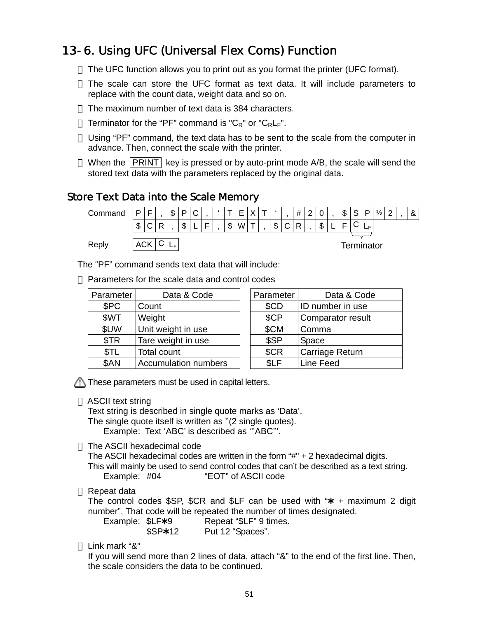# 13-6. Using UFC (Universal Flex Coms) Function

- $E$  The UFC function allows you to print out as you format the printer (UFC format).
- $f$ . The scale can store the UFC format as text data. It will include parameters to replace with the count data, weight data and so on.
- $E$  The maximum number of text data is 384 characters.
- £ Terminator for the "PF" command is " $C_R$ " or " $C_R L_F$ ".
- $E$  Using "PF" command, the text data has to be sent to the scale from the computer in advance. Then, connect the scale with the printer.
- $E$  When the PRINT key is pressed or by auto-print mode A/B, the scale will send the stored text data with the parameters replaced by the original data.

#### Store Text Data into the Scale Memory



The "PF" command sends text data that will include:

Parameters for the scale data and control codes

| Parameter  | Data & Code                 | Parameter | Data & Code             |
|------------|-----------------------------|-----------|-------------------------|
| \$PC       | Count                       | \$CD      | <b>ID</b> number in use |
| \$WT       | Weight                      | \$CP      | Comparator result       |
| \$UW       | Unit weight in use          | \$CM      | Comma                   |
| \$TR       | Tare weight in use          | \$SP      | Space                   |
| <b>STL</b> | Total count                 | \$CR      | Carriage Return         |
| \$AN       | <b>Accumulation numbers</b> | \$LF      | Line Feed               |

| Parameter | Data & Code       |
|-----------|-------------------|
| \$CD      | ID number in use  |
| \$CP      | Comparator result |
| \$CM      | Comma             |
| \$SP      | Space             |
| \$CR      | Carriage Return   |
|           | Line Feed         |

 $\bigcap$  These parameters must be used in capital letters.

#### £ ASCII text string

Text string is described in single quote marks as 'Data'. The single quote itself is written as "(2 single quotes). Example: Text 'ABC' is described as '''ABC'''.

 $E$  The ASCII hexadecimal code

The ASCII hexadecimal codes are written in the form "#" + 2 hexadecimal digits. This will mainly be used to send control codes that can't be described as a text string. Example: #04 "EOT" of ASCII code

#### $£$  Repeat data

The control codes  $SSP$ ,  $SCR$  and  $SLF$  can be used with " $* +$  maximum 2 digit number". That code will be repeated the number of times designated.

Example:  $SLF*9$  Repeat "\$LF" 9 times. \$SP\*12 Put 12 "Spaces".

#### Link mark "&"

If you will send more than 2 lines of data, attach "&" to the end of the first line. Then, the scale considers the data to be continued.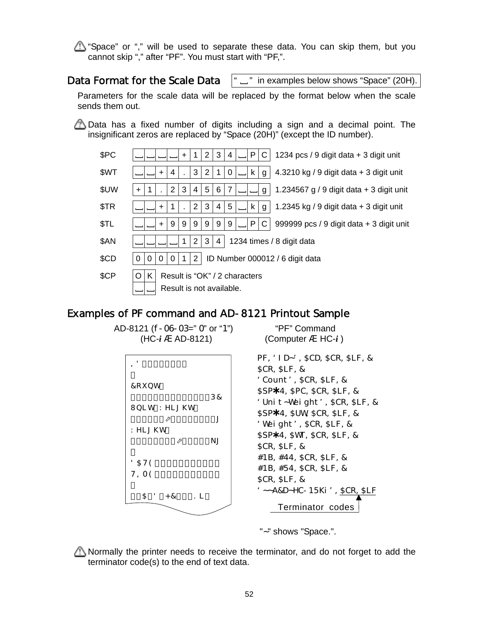$\Delta$  "Space" or "," will be used to separate these data. You can skip them, but you cannot skip "," after "PF". You must start with "PF,".

#### Data Format for the Scale Data

" \_" in examples below shows "Space" (20H).

Parameters for the scale data will be replaced by the format below when the scale sends them out.

 $\triangle$  Data has a fixed number of digits including a sign and a decimal point. The insignificant zeros are replaced by "Space (20H)" (except the ID number).



#### Examples of PF command and AD-8121 Printout Sample

PF,'ID~',\$CD,\$CR,\$LF,& \$CR,\$LF,& 'Count',\$CR,\$LF,& \$SP\*4, \$PC, \$CR, \$LF, & 'Unit~Weight',\$CR,\$LF,& \$SP\*4, \$UW, \$CR, \$LF, & 'Weight',\$CR,\$LF,& \$SP\*4, \$WT, \$CR, \$LF, & \$CR,\$LF,& #1B,#44,\$CR,\$LF,& #1B,#54,\$CR,\$LF,& \$CR,\$LF,& '~~A&D~HC-15Ki',\$CR,\$LF Terminator codes AD-8121 (f-06-03=" 0" or "1") "PF" Command  $(HC-i \land AD-8121)$  (Computer  $\land HC-i$ )  $= 8.5$  S S S %& t, 7cibh<sup>:</sup>  $\cdots \cdots \ddot{Z}\%$ &' ( $\ddot{D7}$  $I b | h KY | [\ \ h \ ]$  $\cdots$   $\sum_{i=1}^{\infty}$   $\frac{1}{2}$   $\binom{1}{2}$   $\binom{1}{2}$   $\binom{1}{2}$   $\binom{1}{2}$   $\binom{1}{2}$   $\binom{1}{2}$   $\binom{1}{2}$   $\binom{1}{2}$   $\binom{1}{2}$   $\binom{1}{2}$   $\binom{1}{2}$   $\binom{1}{2}$   $\binom{1}{2}$   $\binom{1}{2}$   $\binom{1}{2}$   $\binom{1}{2}$   $\binom{1}{2}$   $\bin$ KY]  $[\ \ h$ <sup>-</sup> NJ t,  $85H9$   $$- #\%, # \&$S)$  $H = A9$  %& (.)\* t,  $: 5/8$   $\cdot$  < 7! %) ?]  $\cdot$ 

"~" shows "Space.".

Normally the printer needs to receive the terminator, and do not forget to add the terminator code(s) to the end of text data.